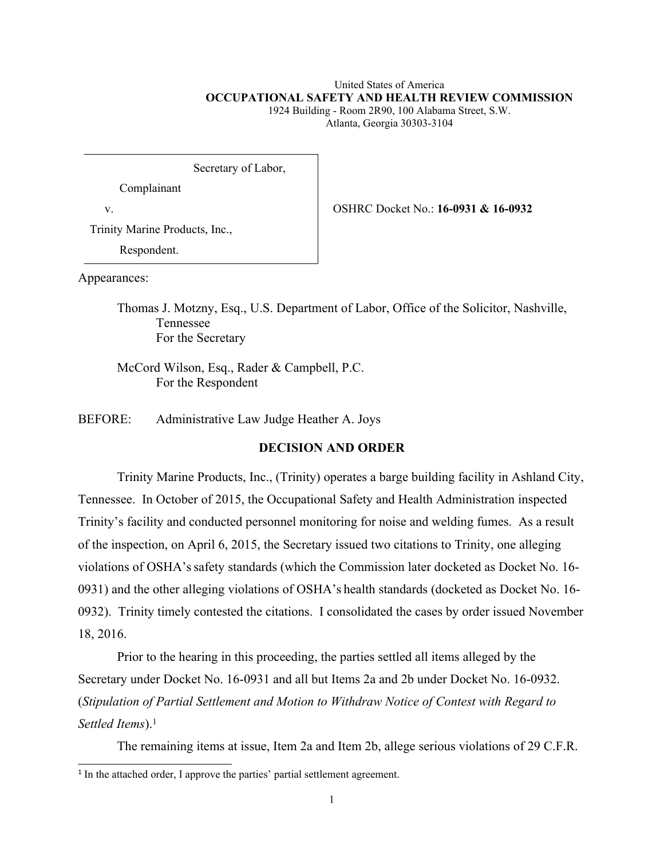# United States of America **OCCUPATIONAL SAFETY AND HEALTH REVIEW COMMISSION**

1924 Building - Room 2R90, 100 Alabama Street, S.W. Atlanta, Georgia 30303-3104

Secretary of Labor,

Complainant

v. OSHRC Docket No.: **16-0931 & 16-0932**

Trinity Marine Products, Inc.,

Respondent.

Appearances:

Thomas J. Motzny, Esq., U.S. Department of Labor, Office of the Solicitor, Nashville, Tennessee For the Secretary

McCord Wilson, Esq., Rader & Campbell, P.C. For the Respondent

BEFORE: Administrative Law Judge Heather A. Joys

# **DECISION AND ORDER**

Trinity Marine Products, Inc., (Trinity) operates a barge building facility in Ashland City, Tennessee. In October of 2015, the Occupational Safety and Health Administration inspected Trinity's facility and conducted personnel monitoring for noise and welding fumes. As a result of the inspection, on April 6, 2015, the Secretary issued two citations to Trinity, one alleging violations of OSHA'ssafety standards (which the Commission later docketed as Docket No. 16- 0931) and the other alleging violations of OSHA's health standards (docketed as Docket No. 16- 0932). Trinity timely contested the citations. I consolidated the cases by order issued November 18, 2016.

Prior to the hearing in this proceeding, the parties settled all items alleged by the Secretary under Docket No. 16-0931 and all but Items 2a and 2b under Docket No. 16-0932. (*Stipulation of Partial Settlement and Motion to Withdraw Notice of Contest with Regard to Settled Items*).<sup>1</sup>

The remaining items at issue, Item 2a and Item 2b, allege serious violations of 29 C.F.R.

<sup>&</sup>lt;sup>1</sup> In the attached order, I approve the parties' partial settlement agreement.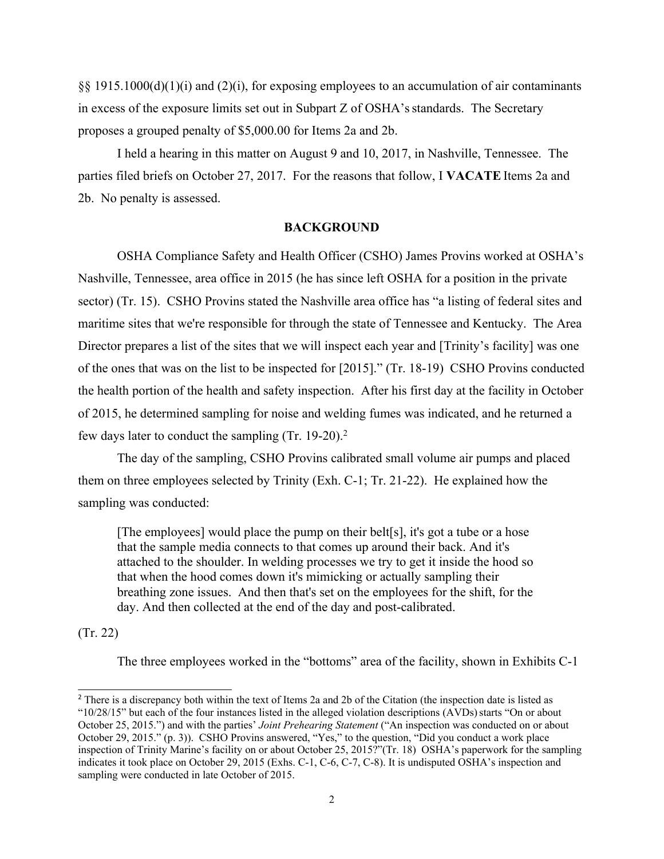§§ 1915.1000(d)(1)(i) and (2)(i), for exposing employees to an accumulation of air contaminants in excess of the exposure limits set out in Subpart Z of OSHA'sstandards. The Secretary proposes a grouped penalty of \$5,000.00 for Items 2a and 2b.

I held a hearing in this matter on August 9 and 10, 2017, in Nashville, Tennessee. The parties filed briefs on October 27, 2017. For the reasons that follow, I **VACATE** Items 2a and 2b. No penalty is assessed.

#### **BACKGROUND**

OSHA Compliance Safety and Health Officer (CSHO) James Provins worked at OSHA's Nashville, Tennessee, area office in 2015 (he has since left OSHA for a position in the private sector) (Tr. 15). CSHO Provins stated the Nashville area office has "a listing of federal sites and maritime sites that we're responsible for through the state of Tennessee and Kentucky. The Area Director prepares a list of the sites that we will inspect each year and [Trinity's facility] was one of the ones that was on the list to be inspected for [2015]." (Tr. 18-19) CSHO Provins conducted the health portion of the health and safety inspection. After his first day at the facility in October of 2015, he determined sampling for noise and welding fumes was indicated, and he returned a few days later to conduct the sampling (Tr. 19-20).<sup>2</sup>

The day of the sampling, CSHO Provins calibrated small volume air pumps and placed them on three employees selected by Trinity (Exh. C-1; Tr. 21-22). He explained how the sampling was conducted:

[The employees] would place the pump on their belt[s], it's got a tube or a hose that the sample media connects to that comes up around their back. And it's attached to the shoulder. In welding processes we try to get it inside the hood so that when the hood comes down it's mimicking or actually sampling their breathing zone issues. And then that's set on the employees for the shift, for the day. And then collected at the end of the day and post-calibrated.

(Tr. 22)

The three employees worked in the "bottoms" area of the facility, shown in Exhibits C-1

<sup>&</sup>lt;sup>2</sup> There is a discrepancy both within the text of Items 2a and 2b of the Citation (the inspection date is listed as "10/28/15" but each of the four instances listed in the alleged violation descriptions (AVDs)starts "On or about October 25, 2015.") and with the parties' *Joint Prehearing Statement* ("An inspection was conducted on or about October 29, 2015." (p. 3)). CSHO Provins answered, "Yes," to the question, "Did you conduct a work place inspection of Trinity Marine's facility on or about October 25, 2015?"(Tr. 18) OSHA's paperwork for the sampling indicates it took place on October 29, 2015 (Exhs. C-1, C-6, C-7, C-8). It is undisputed OSHA's inspection and sampling were conducted in late October of 2015.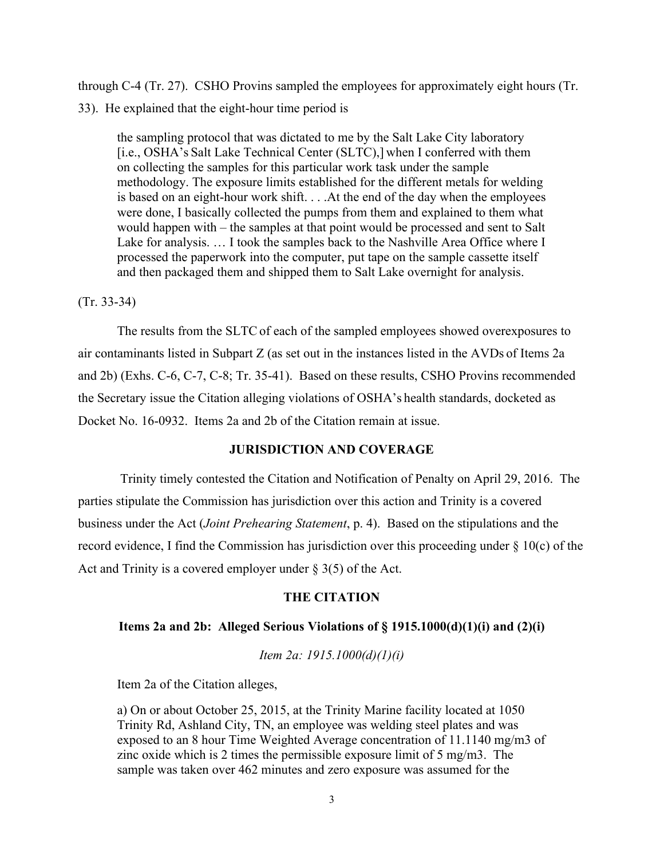through C-4 (Tr. 27). CSHO Provins sampled the employees for approximately eight hours (Tr. 33). He explained that the eight-hour time period is

the sampling protocol that was dictated to me by the Salt Lake City laboratory [i.e., OSHA's Salt Lake Technical Center (SLTC),] when I conferred with them on collecting the samples for this particular work task under the sample methodology. The exposure limits established for the different metals for welding is based on an eight-hour work shift. . . .At the end of the day when the employees were done, I basically collected the pumps from them and explained to them what would happen with – the samples at that point would be processed and sent to Salt Lake for analysis. … I took the samples back to the Nashville Area Office where I processed the paperwork into the computer, put tape on the sample cassette itself and then packaged them and shipped them to Salt Lake overnight for analysis.

#### (Tr. 33-34)

The results from the SLTC of each of the sampled employees showed overexposures to air contaminants listed in Subpart Z (as set out in the instances listed in the AVDs of Items 2a and 2b) (Exhs. C-6, C-7, C-8; Tr. 35-41). Based on these results, CSHO Provins recommended the Secretary issue the Citation alleging violations of OSHA's health standards, docketed as Docket No. 16-0932. Items 2a and 2b of the Citation remain at issue.

# **JURISDICTION AND COVERAGE**

Trinity timely contested the Citation and Notification of Penalty on April 29, 2016. The parties stipulate the Commission has jurisdiction over this action and Trinity is a covered business under the Act (*Joint Prehearing Statement*, p. 4). Based on the stipulations and the record evidence, I find the Commission has jurisdiction over this proceeding under § 10(c) of the Act and Trinity is a covered employer under  $\S 3(5)$  of the Act.

## **THE CITATION**

### **Items 2a and 2b: Alleged Serious Violations of § 1915.1000(d)(1)(i) and (2)(i)**

*Item 2a: 1915.1000(d)(1)(i)*

Item 2a of the Citation alleges,

a) On or about October 25, 2015, at the Trinity Marine facility located at 1050 Trinity Rd, Ashland City, TN, an employee was welding steel plates and was exposed to an 8 hour Time Weighted Average concentration of 11.1140 mg/m3 of zinc oxide which is 2 times the permissible exposure limit of 5 mg/m3. The sample was taken over 462 minutes and zero exposure was assumed for the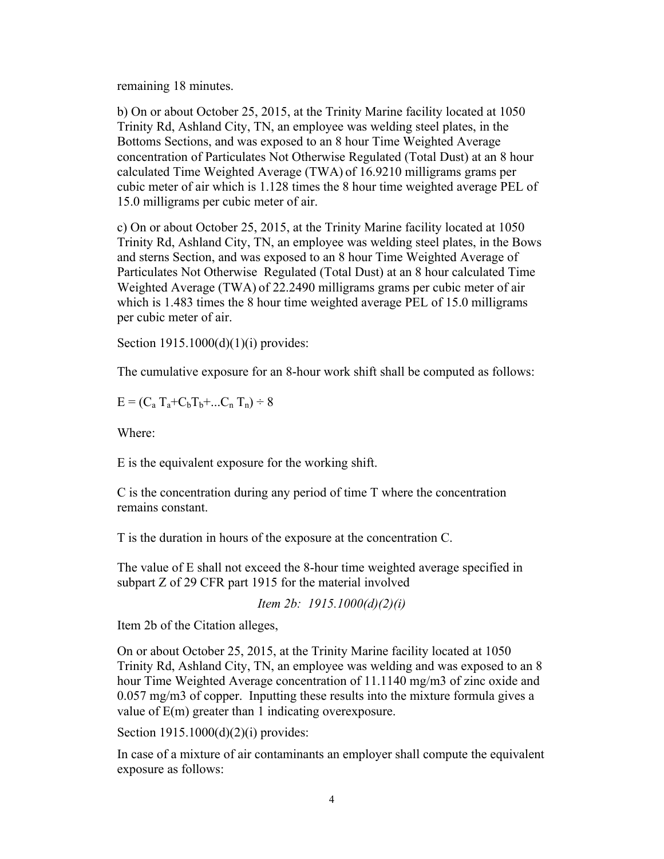remaining 18 minutes.

b) On or about October 25, 2015, at the Trinity Marine facility located at 1050 Trinity Rd, Ashland City, TN, an employee was welding steel plates, in the Bottoms Sections, and was exposed to an 8 hour Time Weighted Average concentration of Particulates Not Otherwise Regulated (Total Dust) at an 8 hour calculated Time Weighted Average (TWA) of 16.9210 milligrams grams per cubic meter of air which is 1.128 times the 8 hour time weighted average PEL of 15.0 milligrams per cubic meter of air.

c) On or about October 25, 2015, at the Trinity Marine facility located at 1050 Trinity Rd, Ashland City, TN, an employee was welding steel plates, in the Bows and sterns Section, and was exposed to an 8 hour Time Weighted Average of Particulates Not Otherwise Regulated (Total Dust) at an 8 hour calculated Time Weighted Average (TWA) of 22.2490 milligrams grams per cubic meter of air which is 1.483 times the 8 hour time weighted average PEL of 15.0 milligrams per cubic meter of air.

Section 1915.1000(d)(1)(i) provides:

The cumulative exposure for an 8-hour work shift shall be computed as follows:

 $E = (C_a T_a + C_b T_b + ... C_n T_n) \div 8$ 

Where:

E is the equivalent exposure for the working shift.

C is the concentration during any period of time T where the concentration remains constant.

T is the duration in hours of the exposure at the concentration C.

The value of E shall not exceed the 8-hour time weighted average specified in subpart Z of 29 CFR part 1915 for the material involved

*Item 2b: 1915.1000(d)(2)(i)*

Item 2b of the Citation alleges,

On or about October 25, 2015, at the Trinity Marine facility located at 1050 Trinity Rd, Ashland City, TN, an employee was welding and was exposed to an 8 hour Time Weighted Average concentration of 11.1140 mg/m3 of zinc oxide and 0.057 mg/m3 of copper. Inputting these results into the mixture formula gives a value of E(m) greater than 1 indicating overexposure.

Section 1915.1000(d)(2)(i) provides:

In case of a mixture of air contaminants an employer shall compute the equivalent exposure as follows: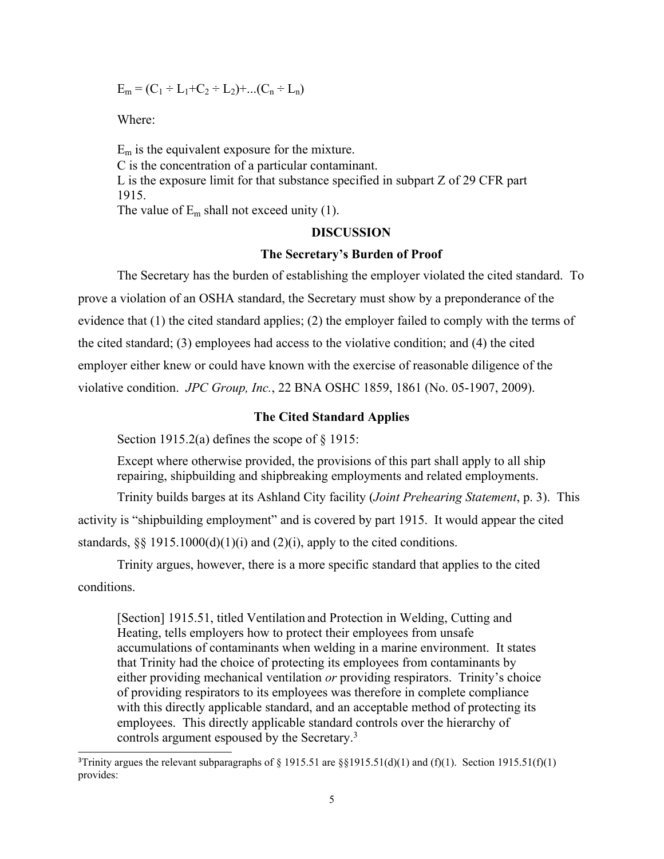$$
E_m = (C_1 \div L_1 + C_2 \div L_2) + ... (C_n \div L_n)
$$

Where:

 $E_m$  is the equivalent exposure for the mixture. C is the concentration of a particular contaminant. L is the exposure limit for that substance specified in subpart Z of 29 CFR part 1915. The value of  $E_m$  shall not exceed unity (1).

## **DISCUSSION**

#### **The Secretary's Burden of Proof**

The Secretary has the burden of establishing the employer violated the cited standard. To prove a violation of an OSHA standard, the Secretary must show by a preponderance of the evidence that (1) the cited standard applies; (2) the employer failed to comply with the terms of the cited standard; (3) employees had access to the violative condition; and (4) the cited employer either knew or could have known with the exercise of reasonable diligence of the violative condition. *JPC Group, Inc.*, 22 BNA OSHC 1859, 1861 (No. 05-1907, 2009).

### **The Cited Standard Applies**

Section 1915.2(a) defines the scope of  $\S$  1915:

Except where otherwise provided, the provisions of this part shall apply to all ship repairing, shipbuilding and shipbreaking employments and related employments.

Trinity builds barges at its Ashland City facility (*Joint Prehearing Statement*, p. 3). This activity is "shipbuilding employment" and is covered by part 1915. It would appear the cited standards,  $\S$  1915.1000(d)(1)(i) and (2)(i), apply to the cited conditions.

Trinity argues, however, there is a more specific standard that applies to the cited conditions.

[Section] 1915.51, titled Ventilation and Protection in Welding, Cutting and Heating, tells employers how to protect their employees from unsafe accumulations of contaminants when welding in a marine environment. It states that Trinity had the choice of protecting its employees from contaminants by either providing mechanical ventilation *or* providing respirators. Trinity's choice of providing respirators to its employees was therefore in complete compliance with this directly applicable standard, and an acceptable method of protecting its employees. This directly applicable standard controls over the hierarchy of controls argument espoused by the Secretary.<sup>3</sup>

<sup>&</sup>lt;sup>3</sup>Trinity argues the relevant subparagraphs of § 1915.51 are §§1915.51(d)(1) and (f)(1). Section 1915.51(f)(1) provides: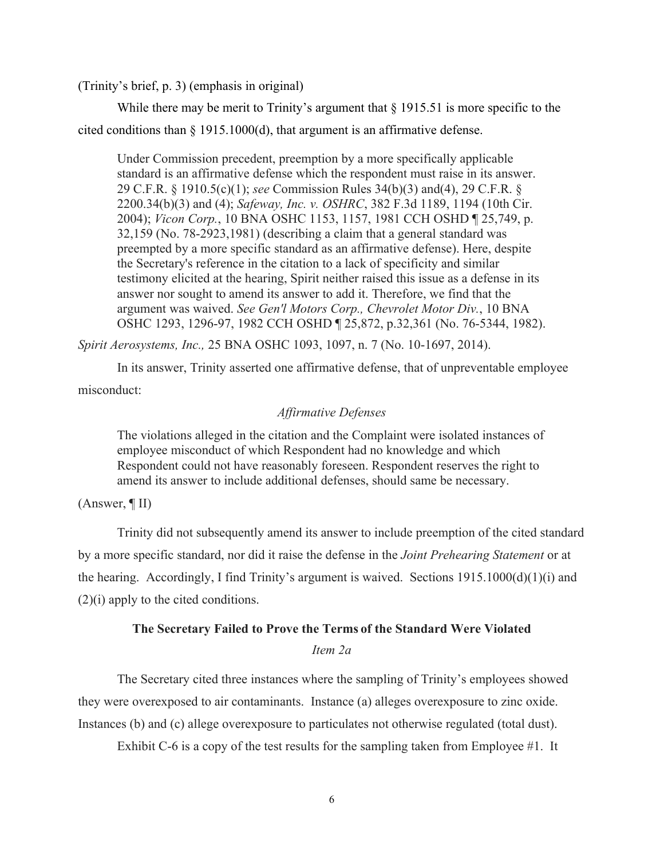(Trinity's brief, p. 3) (emphasis in original)

While there may be merit to Trinity's argument that § 1915.51 is more specific to the cited conditions than § 1915.1000(d), that argument is an affirmative defense.

Under Commission precedent, preemption by a more specifically applicable standard is an affirmative defense which the respondent must raise in its answer. 29 C.F.R. § 1910.5(c)(1); *see* Commission Rules 34(b)(3) and(4), 29 C.F.R. § 2200.34(b)(3) and (4); *Safeway, Inc. v. OSHRC*, 382 F.3d 1189, 1194 (10th Cir. 2004); *Vicon Corp.*, 10 BNA OSHC 1153, 1157, 1981 CCH OSHD ¶ 25,749, p. 32,159 (No. 78-2923,1981) (describing a claim that a general standard was preempted by a more specific standard as an affirmative defense). Here, despite the Secretary's reference in the citation to a lack of specificity and similar testimony elicited at the hearing, Spirit neither raised this issue as a defense in its answer nor sought to amend its answer to add it. Therefore, we find that the argument was waived. *See Gen'l Motors Corp., Chevrolet Motor Div.*, 10 BNA OSHC 1293, 1296-97, 1982 CCH OSHD ¶ 25,872, p.32,361 (No. 76-5344, 1982).

*Spirit Aerosystems, Inc.,* 25 BNA OSHC 1093, 1097, n. 7 (No. 10-1697, 2014).

In its answer, Trinity asserted one affirmative defense, that of unpreventable employee misconduct:

#### *Affirmative Defenses*

The violations alleged in the citation and the Complaint were isolated instances of employee misconduct of which Respondent had no knowledge and which Respondent could not have reasonably foreseen. Respondent reserves the right to amend its answer to include additional defenses, should same be necessary.

#### (Answer, ¶ II)

Trinity did not subsequently amend its answer to include preemption of the cited standard by a more specific standard, nor did it raise the defense in the *Joint Prehearing Statement* or at the hearing. Accordingly, I find Trinity's argument is waived. Sections 1915.1000(d)(1)(i) and (2)(i) apply to the cited conditions.

## **The Secretary Failed to Prove the Terms of the Standard Were Violated**

## *Item 2a*

The Secretary cited three instances where the sampling of Trinity's employees showed they were overexposed to air contaminants. Instance (a) alleges overexposure to zinc oxide. Instances (b) and (c) allege overexposure to particulates not otherwise regulated (total dust).

Exhibit C-6 is a copy of the test results for the sampling taken from Employee #1. It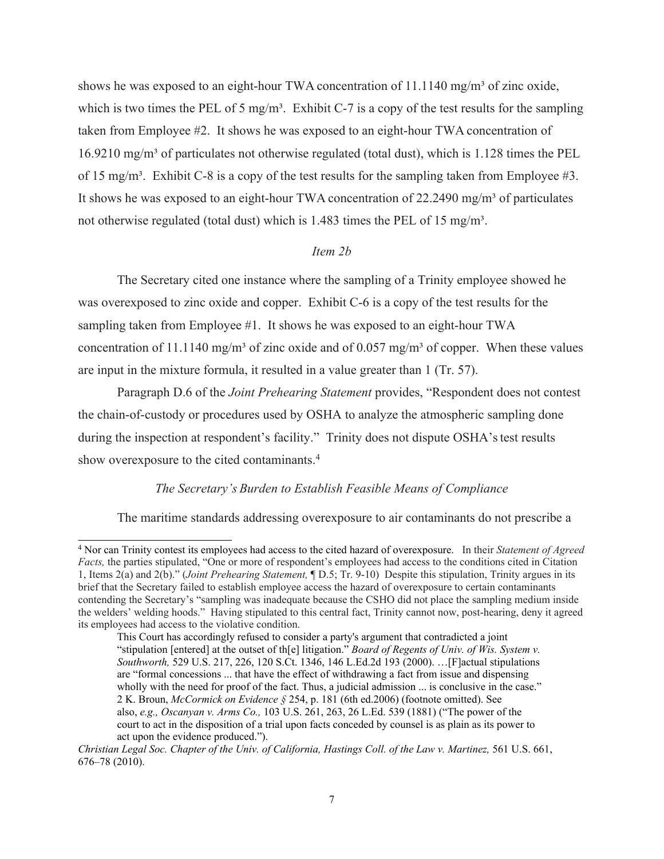shows he was exposed to an eight-hour TWA concentration of  $11.1140$  mg/m<sup>3</sup> of zinc oxide, which is two times the PEL of 5 mg/m<sup>3</sup>. Exhibit C-7 is a copy of the test results for the sampling taken from Employee #2. It shows he was exposed to an eight-hour TWA concentration of  $16.9210 \text{ mg/m}^3$  of particulates not otherwise regulated (total dust), which is 1.128 times the PEL of 15 mg/m<sup>3</sup>. Exhibit C-8 is a copy of the test results for the sampling taken from Employee #3. It shows he was exposed to an eight-hour TWA concentration of  $22.2490$  mg/m<sup>3</sup> of particulates not otherwise regulated (total dust) which is 1.483 times the PEL of 15 mg/m<sup>3</sup>.

## *Item 2b*

The Secretary cited one instance where the sampling of a Trinity employee showed he was overexposed to zinc oxide and copper. Exhibit C-6 is a copy of the test results for the sampling taken from Employee #1. It shows he was exposed to an eight-hour TWA concentration of 11.1140 mg/m<sup>3</sup> of zinc oxide and of 0.057 mg/m<sup>3</sup> of copper. When these values are input in the mixture formula, it resulted in a value greater than 1 (Tr. 57).

Paragraph D.6 of the *Joint Prehearing Statement* provides, "Respondent does not contest the chain-of-custody or procedures used by OSHA to analyze the atmospheric sampling done during the inspection at respondent's facility." Trinity does not dispute OSHA's test results show overexposure to the cited contaminants.<sup>4</sup>

### *The Secretary's Burden to Establish Feasible Means of Compliance*

The maritime standards addressing overexposure to air contaminants do not prescribe a

<sup>4</sup> Nor can Trinity contest its employees had access to the cited hazard of overexposure. In their *Statement of Agreed Facts,* the parties stipulated, "One or more of respondent's employees had access to the conditions cited in Citation 1, Items 2(a) and 2(b)." (*Joint Prehearing Statement,* ¶ D.5; Tr. 9-10) Despite this stipulation, Trinity argues in its brief that the Secretary failed to establish employee access the hazard of overexposure to certain contaminants contending the Secretary's "sampling was inadequate because the CSHO did not place the sampling medium inside the welders' welding hoods." Having stipulated to this central fact, Trinity cannot now, post-hearing, deny it agreed its employees had access to the violative condition.

This Court has accordingly refused to consider a party's argument that contradicted a joint "stipulation [entered] at the outset of th[e] litigation." *Board of Regents of Univ. of Wis. System v. Southworth,* 529 U.S. 217, 226, 120 S.Ct. 1346, 146 L.Ed.2d 193 (2000). …[F]actual stipulations are "formal concessions ... that have the effect of withdrawing a fact from issue and dispensing wholly with the need for proof of the fact. Thus, a judicial admission ... is conclusive in the case." 2 K. Broun, *McCormick on Evidence §* 254, p. 181 (6th ed.2006) (footnote omitted). See also, *e.g., Oscanyan v. Arms Co.,* 103 U.S. 261, 263, 26 L.Ed. 539 (1881) ("The power of the court to act in the disposition of a trial upon facts conceded by counsel is as plain as its power to act upon the evidence produced.").

*Christian Legal Soc. Chapter of the Univ. of California, Hastings Coll. of the Law v. Martinez,* 561 U.S. 661, 676–78 (2010).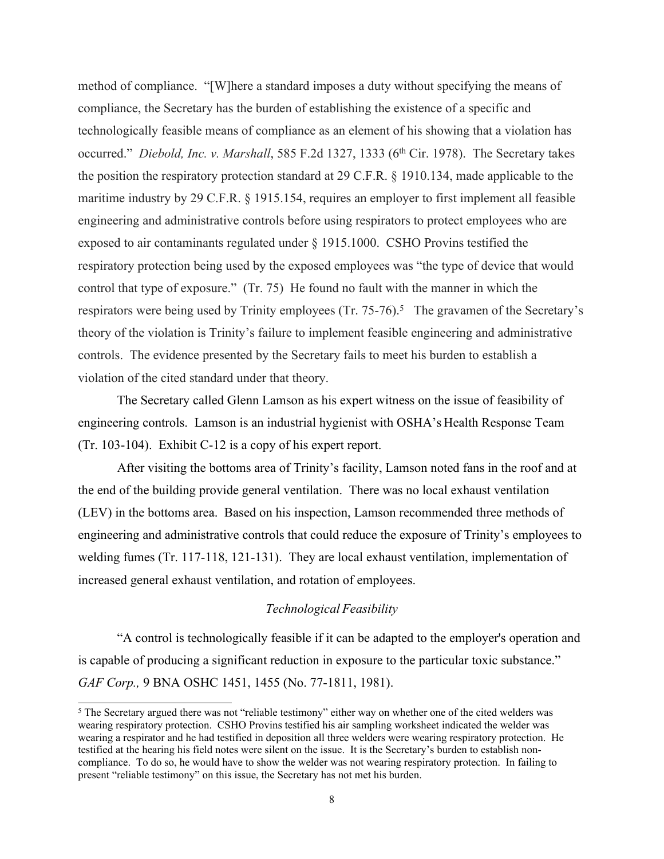method of compliance. "[W]here a standard imposes a duty without specifying the means of compliance, the Secretary has the burden of establishing the existence of a specific and technologically feasible means of compliance as an element of his showing that a violation has occurred." *Diebold, Inc. v. Marshall*, 585 F.2d 1327, 1333 (6th Cir. 1978). The Secretary takes the position the respiratory protection standard at 29 C.F.R. § 1910.134, made applicable to the maritime industry by 29 C.F.R. § 1915.154, requires an employer to first implement all feasible engineering and administrative controls before using respirators to protect employees who are exposed to air contaminants regulated under § 1915.1000. CSHO Provins testified the respiratory protection being used by the exposed employees was "the type of device that would control that type of exposure." (Tr. 75) He found no fault with the manner in which the respirators were being used by Trinity employees (Tr. 75-76).<sup>5</sup> The gravamen of the Secretary's theory of the violation is Trinity's failure to implement feasible engineering and administrative controls. The evidence presented by the Secretary fails to meet his burden to establish a violation of the cited standard under that theory.

The Secretary called Glenn Lamson as his expert witness on the issue of feasibility of engineering controls. Lamson is an industrial hygienist with OSHA's Health Response Team (Tr. 103-104). Exhibit C-12 is a copy of his expert report.

After visiting the bottoms area of Trinity's facility, Lamson noted fans in the roof and at the end of the building provide general ventilation. There was no local exhaust ventilation (LEV) in the bottoms area. Based on his inspection, Lamson recommended three methods of engineering and administrative controls that could reduce the exposure of Trinity's employees to welding fumes (Tr. 117-118, 121-131). They are local exhaust ventilation, implementation of increased general exhaust ventilation, and rotation of employees.

# *Technological Feasibility*

"A control is technologically feasible if it can be adapted to the employer's operation and is capable of producing a significant reduction in exposure to the particular toxic substance." *GAF Corp.,* 9 BNA OSHC 1451, 1455 (No. 77-1811, 1981).

<sup>5</sup> The Secretary argued there was not "reliable testimony" either way on whether one of the cited welders was wearing respiratory protection. CSHO Provins testified his air sampling worksheet indicated the welder was wearing a respirator and he had testified in deposition all three welders were wearing respiratory protection. He testified at the hearing his field notes were silent on the issue. It is the Secretary's burden to establish noncompliance. To do so, he would have to show the welder was not wearing respiratory protection. In failing to present "reliable testimony" on this issue, the Secretary has not met his burden.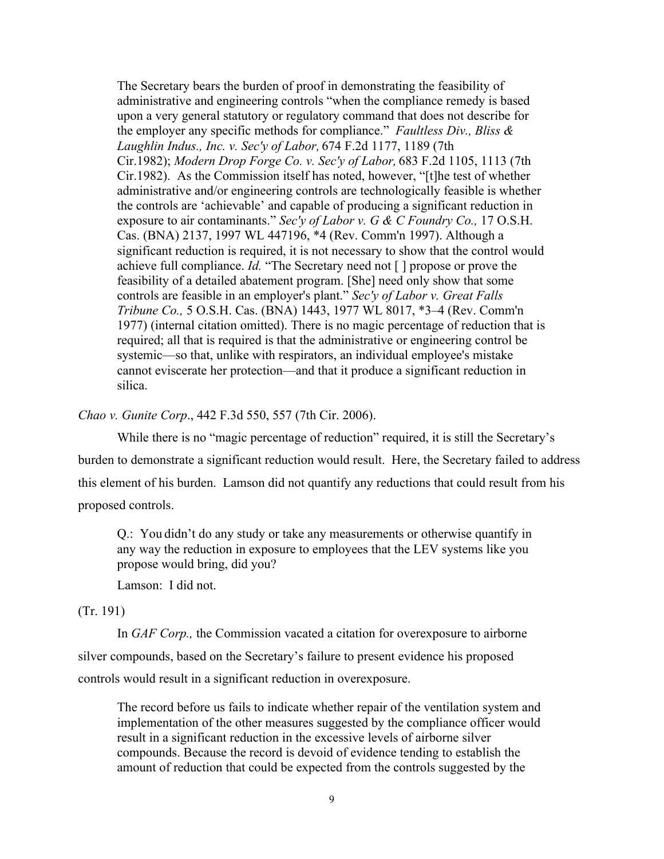The Secretary bears the burden of proof in demonstrating the feasibility of administrative and engineering controls "when the compliance remedy is based upon a very general statutory or regulatory command that does not describe for the employer any specific methods for compliance." *Faultless Div., Bliss & Laughlin Indus., Inc. v. Sec'y of Labor,* 674 F.2d 1177, 1189 (7th Cir.1982); *Modern Drop Forge Co. v. Sec'y of Labor,* 683 F.2d 1105, 1113 (7th Cir.1982). As the Commission itself has noted, however, "[t]he test of whether administrative and/or engineering controls are technologically feasible is whether the controls are 'achievable' and capable of producing a significant reduction in exposure to air contaminants." *Sec'y of Labor v. G & C Foundry Co.,* 17 O.S.H. Cas. (BNA) 2137, 1997 WL 447196, \*4 (Rev. Comm'n 1997). Although a significant reduction is required, it is not necessary to show that the control would achieve full compliance. *Id.* "The Secretary need not [ ] propose or prove the feasibility of a detailed abatement program. [She] need only show that some controls are feasible in an employer's plant." *Sec'y of Labor v. Great Falls Tribune Co.,* 5 O.S.H. Cas. (BNA) 1443, 1977 WL 8017, \*3–4 (Rev. Comm'n 1977) (internal citation omitted). There is no magic percentage of reduction that is required; all that is required is that the administrative or engineering control be systemic—so that, unlike with respirators, an individual employee's mistake cannot eviscerate her protection—and that it produce a significant reduction in silica.

*Chao v. Gunite Corp*., 442 F.3d 550, 557 (7th Cir. 2006).

While there is no "magic percentage of reduction" required, it is still the Secretary's burden to demonstrate a significant reduction would result. Here, the Secretary failed to address this element of his burden. Lamson did not quantify any reductions that could result from his proposed controls.

Q.: You didn't do any study or take any measurements or otherwise quantify in any way the reduction in exposure to employees that the LEV systems like you propose would bring, did you?

Lamson: I did not.

(Tr. 191)

In *GAF Corp.,* the Commission vacated a citation for overexposure to airborne silver compounds, based on the Secretary's failure to present evidence his proposed controls would result in a significant reduction in overexposure.

The record before us fails to indicate whether repair of the ventilation system and implementation of the other measures suggested by the compliance officer would result in a significant reduction in the excessive levels of airborne silver compounds. Because the record is devoid of evidence tending to establish the amount of reduction that could be expected from the controls suggested by the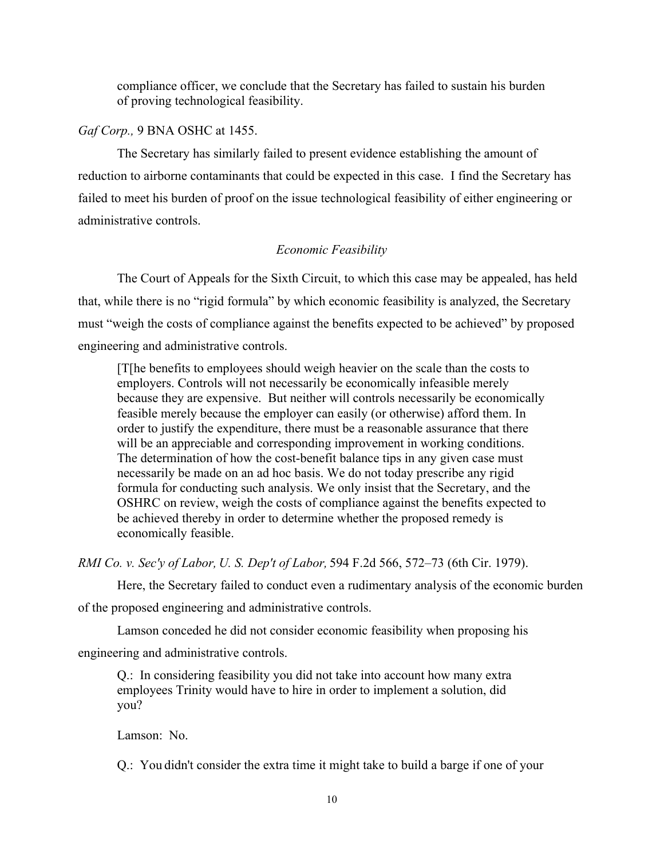compliance officer, we conclude that the Secretary has failed to sustain his burden of proving technological feasibility.

### *Gaf Corp.,* 9 BNA OSHC at 1455.

The Secretary has similarly failed to present evidence establishing the amount of reduction to airborne contaminants that could be expected in this case. I find the Secretary has failed to meet his burden of proof on the issue technological feasibility of either engineering or administrative controls.

### *Economic Feasibility*

The Court of Appeals for the Sixth Circuit, to which this case may be appealed, has held that, while there is no "rigid formula" by which economic feasibility is analyzed, the Secretary must "weigh the costs of compliance against the benefits expected to be achieved" by proposed engineering and administrative controls.

[T[he benefits to employees should weigh heavier on the scale than the costs to employers. Controls will not necessarily be economically infeasible merely because they are expensive. But neither will controls necessarily be economically feasible merely because the employer can easily (or otherwise) afford them. In order to justify the expenditure, there must be a reasonable assurance that there will be an appreciable and corresponding improvement in working conditions. The determination of how the cost-benefit balance tips in any given case must necessarily be made on an ad hoc basis. We do not today prescribe any rigid formula for conducting such analysis. We only insist that the Secretary, and the OSHRC on review, weigh the costs of compliance against the benefits expected to be achieved thereby in order to determine whether the proposed remedy is economically feasible.

*RMI Co. v. Sec'y of Labor, U. S. Dep't of Labor,* 594 F.2d 566, 572–73 (6th Cir. 1979).

Here, the Secretary failed to conduct even a rudimentary analysis of the economic burden

of the proposed engineering and administrative controls.

Lamson conceded he did not consider economic feasibility when proposing his

engineering and administrative controls.

Q.: In considering feasibility you did not take into account how many extra employees Trinity would have to hire in order to implement a solution, did you?

Lamson: No.

Q.: You didn't consider the extra time it might take to build a barge if one of your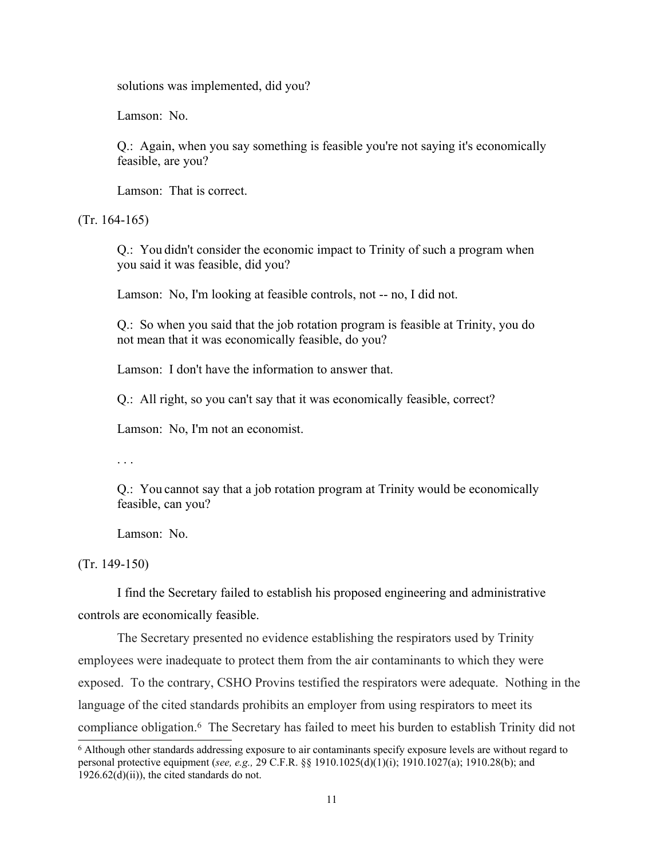solutions was implemented, did you?

Lamson: No.

Q.: Again, when you say something is feasible you're not saying it's economically feasible, are you?

Lamson: That is correct.

(Tr. 164-165)

Q.: You didn't consider the economic impact to Trinity of such a program when you said it was feasible, did you?

Lamson: No, I'm looking at feasible controls, not -- no, I did not.

Q.: So when you said that the job rotation program is feasible at Trinity, you do not mean that it was economically feasible, do you?

Lamson: I don't have the information to answer that.

Q.: All right, so you can't say that it was economically feasible, correct?

Lamson: No, I'm not an economist.

. . .

Q.: You cannot say that a job rotation program at Trinity would be economically feasible, can you?

Lamson: No.

(Tr. 149-150)

I find the Secretary failed to establish his proposed engineering and administrative controls are economically feasible.

The Secretary presented no evidence establishing the respirators used by Trinity employees were inadequate to protect them from the air contaminants to which they were exposed. To the contrary, CSHO Provins testified the respirators were adequate. Nothing in the language of the cited standards prohibits an employer from using respirators to meet its compliance obligation.<sup>6</sup> The Secretary has failed to meet his burden to establish Trinity did not

<sup>6</sup> Although other standards addressing exposure to air contaminants specify exposure levels are without regard to personal protective equipment (*see, e.g.,* 29 C.F.R. §§ 1910.1025(d)(1)(i); 1910.1027(a); 1910.28(b); and  $1926.62(d)(ii)$ , the cited standards do not.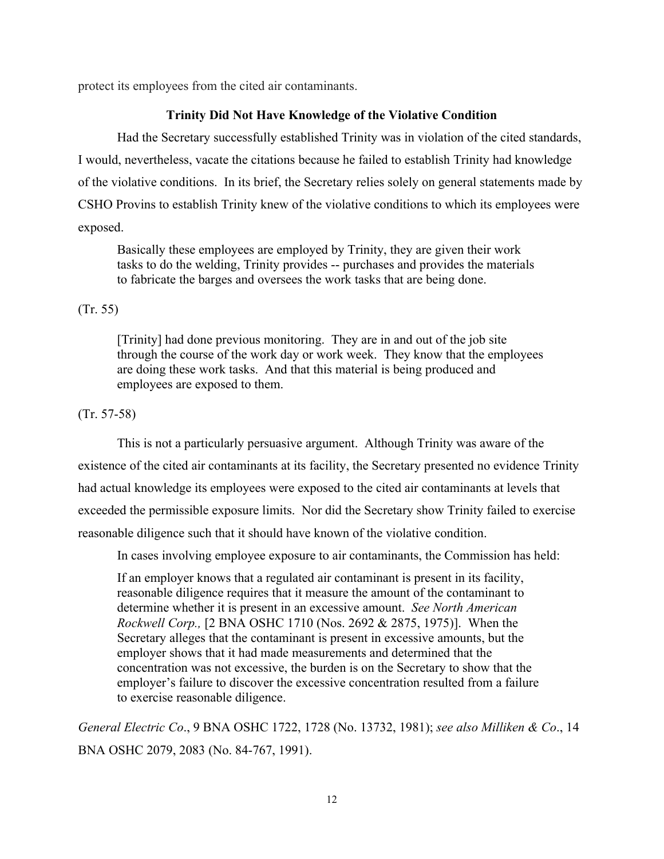protect its employees from the cited air contaminants.

# **Trinity Did Not Have Knowledge of the Violative Condition**

Had the Secretary successfully established Trinity was in violation of the cited standards, I would, nevertheless, vacate the citations because he failed to establish Trinity had knowledge of the violative conditions. In its brief, the Secretary relies solely on general statements made by CSHO Provins to establish Trinity knew of the violative conditions to which its employees were exposed.

Basically these employees are employed by Trinity, they are given their work tasks to do the welding, Trinity provides -- purchases and provides the materials to fabricate the barges and oversees the work tasks that are being done.

### (Tr. 55)

[Trinity] had done previous monitoring. They are in and out of the job site through the course of the work day or work week. They know that the employees are doing these work tasks. And that this material is being produced and employees are exposed to them.

# (Tr. 57-58)

This is not a particularly persuasive argument. Although Trinity was aware of the existence of the cited air contaminants at its facility, the Secretary presented no evidence Trinity had actual knowledge its employees were exposed to the cited air contaminants at levels that exceeded the permissible exposure limits. Nor did the Secretary show Trinity failed to exercise reasonable diligence such that it should have known of the violative condition.

In cases involving employee exposure to air contaminants, the Commission has held:

If an employer knows that a regulated air contaminant is present in its facility, reasonable diligence requires that it measure the amount of the contaminant to determine whether it is present in an excessive amount. *See North American Rockwell Corp.,* [2 BNA OSHC 1710 (Nos. 2692 & 2875, 1975)]. When the Secretary alleges that the contaminant is present in excessive amounts, but the employer shows that it had made measurements and determined that the concentration was not excessive, the burden is on the Secretary to show that the employer's failure to discover the excessive concentration resulted from a failure to exercise reasonable diligence.

*General Electric Co*., 9 BNA OSHC 1722, 1728 (No. 13732, 1981); *see also Milliken & Co*., 14 BNA OSHC 2079, 2083 (No. 84-767, 1991).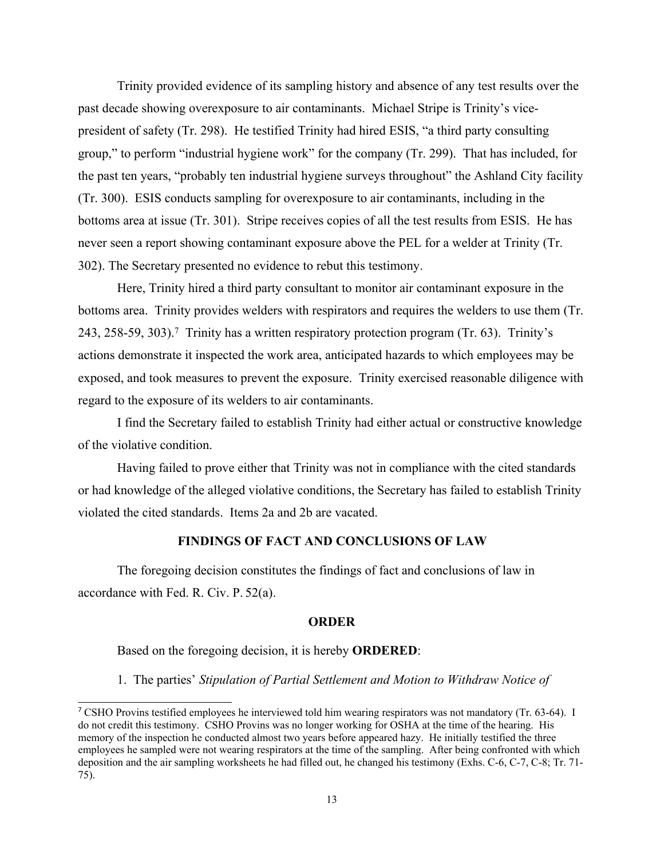Trinity provided evidence of its sampling history and absence of any test results over the past decade showing overexposure to air contaminants. Michael Stripe is Trinity's vicepresident of safety (Tr. 298). He testified Trinity had hired ESIS, "a third party consulting group," to perform "industrial hygiene work" for the company (Tr. 299). That has included, for the past ten years, "probably ten industrial hygiene surveys throughout" the Ashland City facility (Tr. 300). ESIS conducts sampling for overexposure to air contaminants, including in the bottoms area at issue (Tr. 301). Stripe receives copies of all the test results from ESIS. He has never seen a report showing contaminant exposure above the PEL for a welder at Trinity (Tr. 302). The Secretary presented no evidence to rebut this testimony.

Here, Trinity hired a third party consultant to monitor air contaminant exposure in the bottoms area. Trinity provides welders with respirators and requires the welders to use them (Tr. 243, 258-59, 303).<sup>7</sup> Trinity has a written respiratory protection program (Tr. 63). Trinity's actions demonstrate it inspected the work area, anticipated hazards to which employees may be exposed, and took measures to prevent the exposure. Trinity exercised reasonable diligence with regard to the exposure of its welders to air contaminants.

I find the Secretary failed to establish Trinity had either actual or constructive knowledge of the violative condition.

Having failed to prove either that Trinity was not in compliance with the cited standards or had knowledge of the alleged violative conditions, the Secretary has failed to establish Trinity violated the cited standards. Items 2a and 2b are vacated.

#### **FINDINGS OF FACT AND CONCLUSIONS OF LAW**

The foregoing decision constitutes the findings of fact and conclusions of law in accordance with Fed. R. Civ. P. 52(a).

#### **ORDER**

Based on the foregoing decision, it is hereby **ORDERED**:

1. The parties' *Stipulation of Partial Settlement and Motion to Withdraw Notice of*

<sup>7</sup> CSHO Provins testified employees he interviewed told him wearing respirators was not mandatory (Tr. 63-64). I do not credit this testimony. CSHO Provins was no longer working for OSHA at the time of the hearing. His memory of the inspection he conducted almost two years before appeared hazy. He initially testified the three employees he sampled were not wearing respirators at the time of the sampling. After being confronted with which deposition and the air sampling worksheets he had filled out, he changed his testimony (Exhs. C-6, C-7, C-8; Tr. 71- 75).